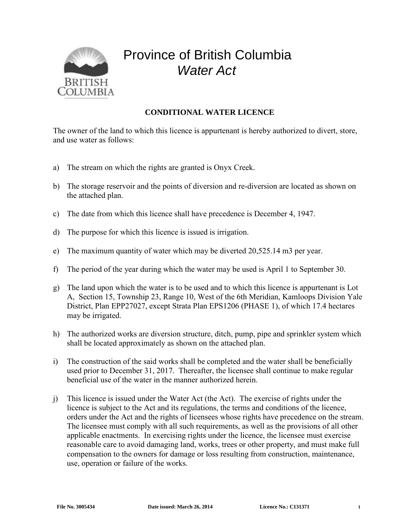

## Province of British Columbia *Water Act*

## **CONDITIONAL WATER LICENCE**

The owner of the land to which this licence is appurtenant is hereby authorized to divert, store, and use water as follows:

- a) The stream on which the rights are granted is Onyx Creek.
- b) The storage reservoir and the points of diversion and re-diversion are located as shown on the attached plan.
- c) The date from which this licence shall have precedence is December 4, 1947.
- d) The purpose for which this licence is issued is irrigation.
- e) The maximum quantity of water which may be diverted 20,525.14 m3 per year.
- f) The period of the year during which the water may be used is April 1 to September 30.
- g) The land upon which the water is to be used and to which this licence is appurtenant is Lot A, Section 15, Township 23, Range 10, West of the 6th Meridian, Kamloops Division Yale District, Plan EPP27027, except Strata Plan EPS1206 (PHASE 1), of which 17.4 hectares may be irrigated.
- h) The authorized works are diversion structure, ditch, pump, pipe and sprinkler system which shall be located approximately as shown on the attached plan.
- i) The construction of the said works shall be completed and the water shall be beneficially used prior to December 31, 2017. Thereafter, the licensee shall continue to make regular beneficial use of the water in the manner authorized herein.
- j) This licence is issued under the Water Act (the Act). The exercise of rights under the licence is subject to the Act and its regulations, the terms and conditions of the licence, orders under the Act and the rights of licensees whose rights have precedence on the stream. The licensee must comply with all such requirements, as well as the provisions of all other applicable enactments. In exercising rights under the licence, the licensee must exercise reasonable care to avoid damaging land, works, trees or other property, and must make full compensation to the owners for damage or loss resulting from construction, maintenance, use, operation or failure of the works.